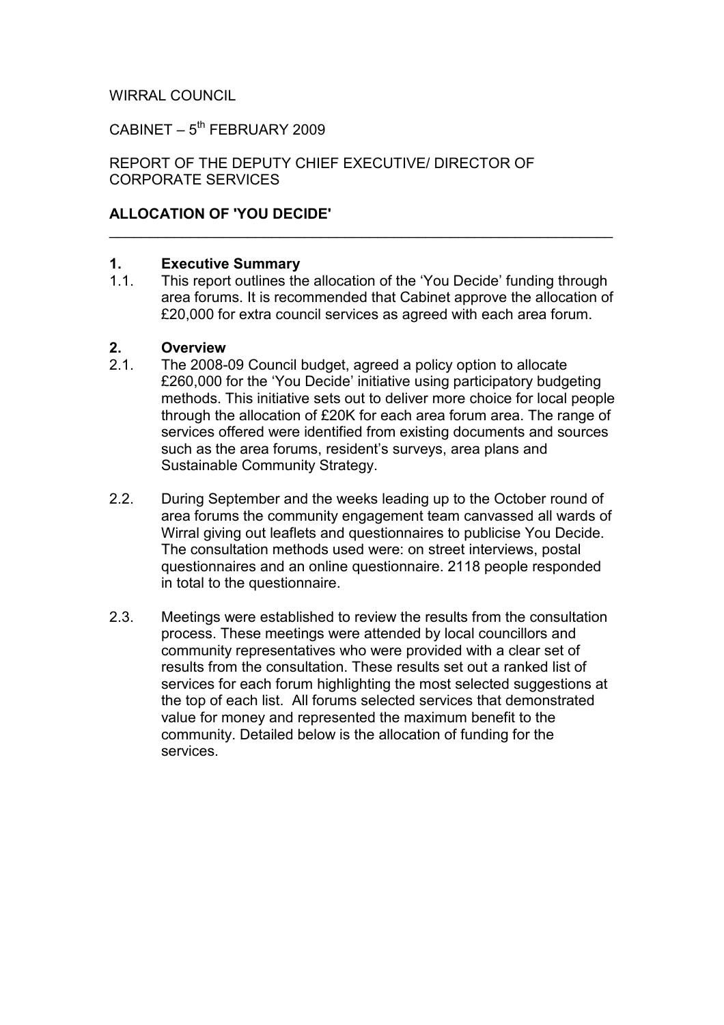#### WIRRAL COUNCIL

 $CABINET - 5<sup>th</sup> FEBRUARY 2009$ 

REPORT OF THE DEPUTY CHIEF EXECUTIVE/ DIRECTOR OF CORPORATE SERVICES

#### ALLOCATION OF 'YOU DECIDE'

# 1. **Executive Summary**<br>1.1. This report outlines the

This report outlines the allocation of the 'You Decide' funding through area forums. It is recommended that Cabinet approve the allocation of £20,000 for extra council services as agreed with each area forum.

\_\_\_\_\_\_\_\_\_\_\_\_\_\_\_\_\_\_\_\_\_\_\_\_\_\_\_\_\_\_\_\_\_\_\_\_\_\_\_\_\_\_\_\_\_\_\_\_\_\_\_\_\_\_\_\_\_\_\_\_\_\_

#### 2. Overview

- 2.1. The 2008-09 Council budget, agreed a policy option to allocate £260,000 for the 'You Decide' initiative using participatory budgeting methods. This initiative sets out to deliver more choice for local people through the allocation of £20K for each area forum area. The range of services offered were identified from existing documents and sources such as the area forums, resident's surveys, area plans and Sustainable Community Strategy.
- 2.2. During September and the weeks leading up to the October round of area forums the community engagement team canvassed all wards of Wirral giving out leaflets and questionnaires to publicise You Decide. The consultation methods used were: on street interviews, postal questionnaires and an online questionnaire. 2118 people responded in total to the questionnaire.
- 2.3. Meetings were established to review the results from the consultation process. These meetings were attended by local councillors and community representatives who were provided with a clear set of results from the consultation. These results set out a ranked list of services for each forum highlighting the most selected suggestions at the top of each list. All forums selected services that demonstrated value for money and represented the maximum benefit to the community. Detailed below is the allocation of funding for the services.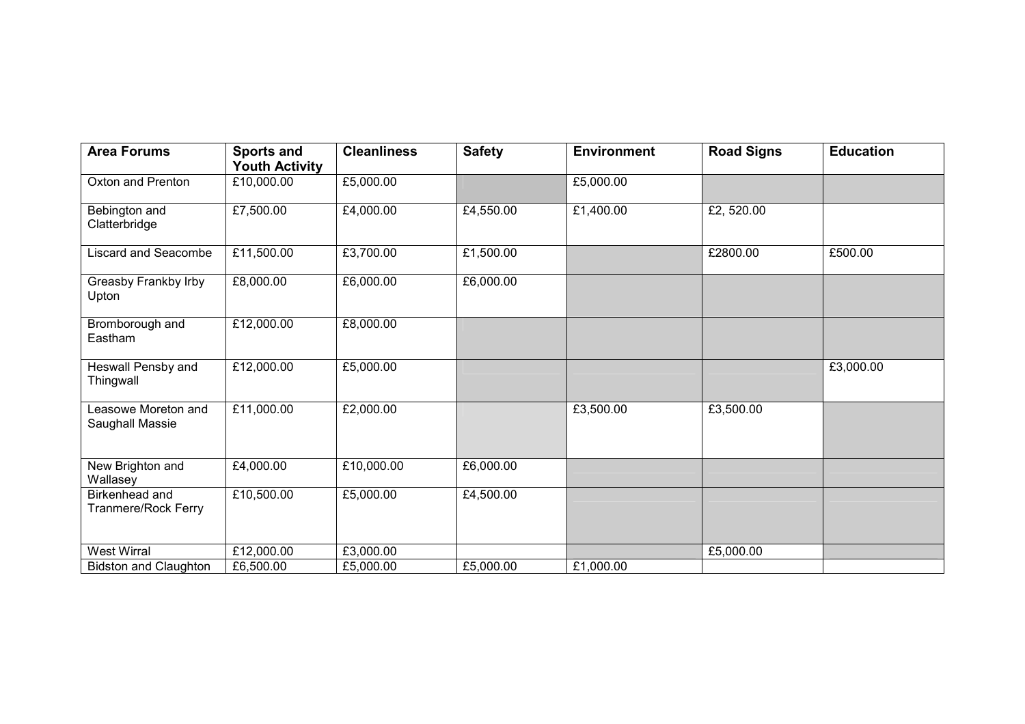| <b>Area Forums</b>                     | <b>Sports and</b><br><b>Youth Activity</b> | <b>Cleanliness</b> | <b>Safety</b> | <b>Environment</b> | <b>Road Signs</b> | <b>Education</b> |
|----------------------------------------|--------------------------------------------|--------------------|---------------|--------------------|-------------------|------------------|
| Oxton and Prenton                      | £10,000.00                                 | £5,000.00          |               | £5,000.00          |                   |                  |
| Bebington and<br>Clatterbridge         | £7,500.00                                  | £4,000.00          | £4,550.00     | £1,400.00          | £2,520.00         |                  |
| Liscard and Seacombe                   | £11,500.00                                 | £3,700.00          | £1,500.00     |                    | £2800.00          | £500.00          |
| Greasby Frankby Irby<br>Upton          | £8,000.00                                  | £6,000.00          | £6,000.00     |                    |                   |                  |
| Bromborough and<br>Eastham             | £12,000.00                                 | £8,000.00          |               |                    |                   |                  |
| Heswall Pensby and<br>Thingwall        | £12,000.00                                 | £5,000.00          |               |                    |                   | £3,000.00        |
| Leasowe Moreton and<br>Saughall Massie | £11,000.00                                 | £2,000.00          |               | £3,500.00          | £3,500.00         |                  |
| New Brighton and<br>Wallasey           | £4,000.00                                  | £10,000.00         | £6,000.00     |                    |                   |                  |
| Birkenhead and<br>Tranmere/Rock Ferry  | £10,500.00                                 | £5,000.00          | £4,500.00     |                    |                   |                  |
| <b>West Wirral</b>                     | £12,000.00                                 | £3,000.00          |               |                    | £5,000.00         |                  |
| <b>Bidston and Claughton</b>           | £6,500.00                                  | £5,000.00          | £5,000.00     | £1,000.00          |                   |                  |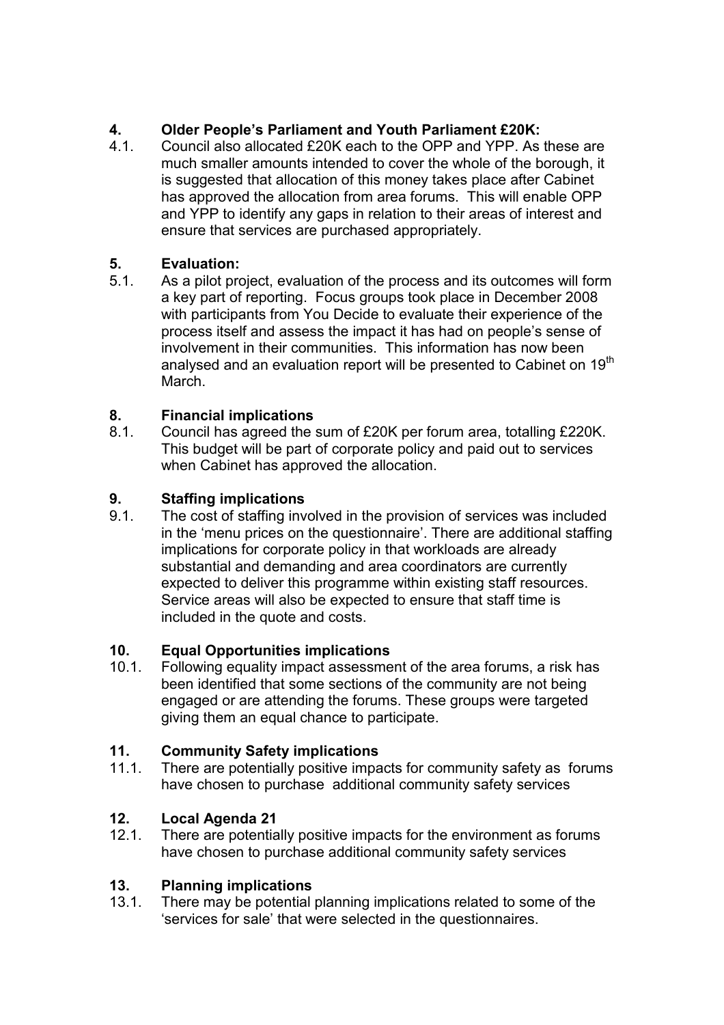# 4. Older People's Parliament and Youth Parliament £20K:

4.1. Council also allocated £20K each to the OPP and YPP. As these are much smaller amounts intended to cover the whole of the borough, it is suggested that allocation of this money takes place after Cabinet has approved the allocation from area forums. This will enable OPP and YPP to identify any gaps in relation to their areas of interest and ensure that services are purchased appropriately.

# 5. Evaluation:

5.1. As a pilot project, evaluation of the process and its outcomes will form a key part of reporting. Focus groups took place in December 2008 with participants from You Decide to evaluate their experience of the process itself and assess the impact it has had on people's sense of involvement in their communities. This information has now been analysed and an evaluation report will be presented to Cabinet on 19<sup>th</sup> March.

# 8. Financial implications

8.1. Council has agreed the sum of £20K per forum area, totalling £220K. This budget will be part of corporate policy and paid out to services when Cabinet has approved the allocation.

# **9.** Staffing implications<br>9.1. The cost of staffing inve

The cost of staffing involved in the provision of services was included in the 'menu prices on the questionnaire'. There are additional staffing implications for corporate policy in that workloads are already substantial and demanding and area coordinators are currently expected to deliver this programme within existing staff resources. Service areas will also be expected to ensure that staff time is included in the quote and costs.

### 10. Equal Opportunities implications

10.1. Following equality impact assessment of the area forums, a risk has been identified that some sections of the community are not being engaged or are attending the forums. These groups were targeted giving them an equal chance to participate.

### 11. Community Safety implications

11.1. There are potentially positive impacts for community safety as forums have chosen to purchase additional community safety services

# 12. Local Agenda 21

12.1. There are potentially positive impacts for the environment as forums have chosen to purchase additional community safety services

### 13. Planning implications

13.1. There may be potential planning implications related to some of the 'services for sale' that were selected in the questionnaires.